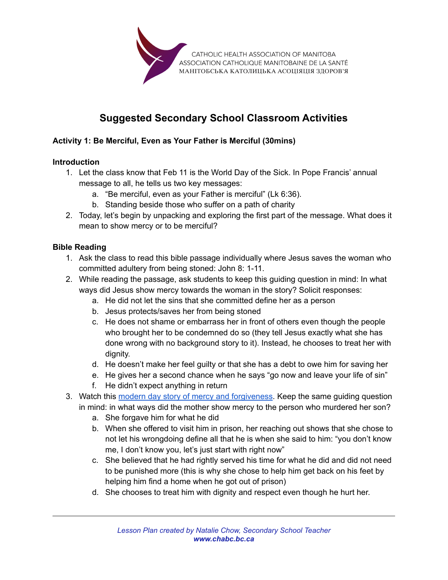

# **Suggested Secondary School Classroom Activities**

## **Activity 1: Be Merciful, Even as Your Father is Merciful (30mins)**

## **Introduction**

- 1. Let the class know that Feb 11 is the World Day of the Sick. In Pope Francis' annual message to all, he tells us two key messages:
	- a. "Be merciful, even as your Father is merciful" (Lk 6:36).
	- b. Standing beside those who suffer on a path of charity
- 2. Today, let's begin by unpacking and exploring the first part of the message. What does it mean to show mercy or to be merciful?

## **Bible Reading**

- 1. Ask the class to read this bible passage individually where Jesus saves the woman who committed adultery from being stoned: John 8: 1-11.
- 2. While reading the passage, ask students to keep this guiding question in mind: In what ways did Jesus show mercy towards the woman in the story? Solicit responses:
	- a. He did not let the sins that she committed define her as a person
	- b. Jesus protects/saves her from being stoned
	- c. He does not shame or embarrass her in front of others even though the people who brought her to be condemned do so (they tell Jesus exactly what she has done wrong with no background story to it). Instead, he chooses to treat her with dignity.
	- d. He doesn't make her feel guilty or that she has a debt to owe him for saving her
	- e. He gives her a second chance when he says "go now and leave your life of sin"
	- f. He didn't expect anything in return
- 3. Watch this [modern day story of mercy and forgiveness.](https://www.yout-ube.com/watch?v=o2BITY-3Mp4) Keep the same guiding question in mind: in what ways did the mother show mercy to the person who murdered her son?
	- a. She forgave him for what he did
	- b. When she offered to visit him in prison, her reaching out shows that she chose to not let his wrongdoing define all that he is when she said to him: "you don't know me, I don't know you, let's just start with right now"
	- c. She believed that he had rightly served his time for what he did and did not need to be punished more (this is why she chose to help him get back on his feet by helping him find a home when he got out of prison)
	- d. She chooses to treat him with dignity and respect even though he hurt her.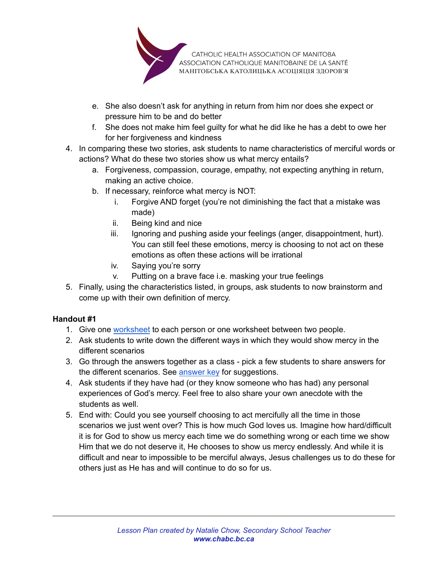

- e. She also doesn't ask for anything in return from him nor does she expect or pressure him to be and do better
- f. She does not make him feel guilty for what he did like he has a debt to owe her for her forgiveness and kindness
- 4. In comparing these two stories, ask students to name characteristics of merciful words or actions? What do these two stories show us what mercy entails?
	- a. Forgiveness, compassion, courage, empathy, not expecting anything in return, making an active choice.
	- b. If necessary, reinforce what mercy is NOT:
		- i. Forgive AND forget (you're not diminishing the fact that a mistake was made)
		- ii. Being kind and nice
		- iii. Ignoring and pushing aside your feelings (anger, disappointment, hurt). You can still feel these emotions, mercy is choosing to not act on these emotions as often these actions will be irrational
		- iv. Saying you're sorry
		- v. Putting on a brave face i.e. masking your true feelings
- 5. Finally, using the characteristics listed, in groups, ask students to now brainstorm and come up with their own definition of mercy.

## **Handout #1**

- 1. Give one [worksheet](https://drive.google.com/file/d/1kjVC1IpL8JDJxZeRbcNYpjmDXwhTu791/view?usp=sharing) to each person or one worksheet between two people.
- 2. Ask students to write down the different ways in which they would show mercy in the different scenarios
- 3. Go through the answers together as a class pick a few students to share answers for the different scenarios. See [answer key](#page-2-0) for suggestions.
- 4. Ask students if they have had (or they know someone who has had) any personal experiences of God's mercy. Feel free to also share your own anecdote with the students as well.
- 5. End with: Could you see yourself choosing to act mercifully all the time in those scenarios we just went over? This is how much God loves us. Imagine how hard/difficult it is for God to show us mercy each time we do something wrong or each time we show Him that we do not deserve it, He chooses to show us mercy endlessly. And while it is difficult and near to impossible to be merciful always, Jesus challenges us to do these for others just as He has and will continue to do so for us.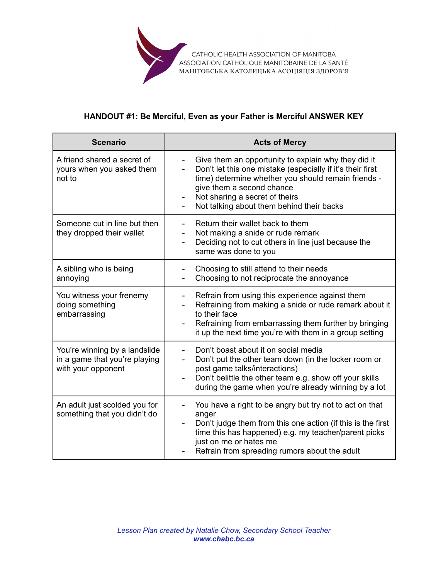

## **HANDOUT #1: Be Merciful, Even as your Father is Merciful ANSWER KEY**

<span id="page-2-0"></span>

| <b>Scenario</b>                                                                      | <b>Acts of Mercy</b>                                                                                                                                                                                                                                                                                                                             |
|--------------------------------------------------------------------------------------|--------------------------------------------------------------------------------------------------------------------------------------------------------------------------------------------------------------------------------------------------------------------------------------------------------------------------------------------------|
| A friend shared a secret of<br>yours when you asked them<br>not to                   | Give them an opportunity to explain why they did it<br>$\qquad \qquad \blacksquare$<br>Don't let this one mistake (especially if it's their first<br>$\overline{\phantom{0}}$<br>time) determine whether you should remain friends -<br>give them a second chance<br>Not sharing a secret of theirs<br>Not talking about them behind their backs |
| Someone cut in line but then<br>they dropped their wallet                            | Return their wallet back to them<br>Not making a snide or rude remark<br>Deciding not to cut others in line just because the<br>same was done to you                                                                                                                                                                                             |
| A sibling who is being<br>annoying                                                   | Choosing to still attend to their needs<br>Choosing to not reciprocate the annoyance                                                                                                                                                                                                                                                             |
| You witness your frenemy<br>doing something<br>embarrassing                          | Refrain from using this experience against them<br>$\qquad \qquad \blacksquare$<br>Refraining from making a snide or rude remark about it<br>to their face<br>Refraining from embarrassing them further by bringing<br>it up the next time you're with them in a group setting                                                                   |
| You're winning by a landslide<br>in a game that you're playing<br>with your opponent | Don't boast about it on social media<br>Don't put the other team down (in the locker room or<br>post game talks/interactions)<br>Don't belittle the other team e.g. show off your skills<br>during the game when you're already winning by a lot                                                                                                 |
| An adult just scolded you for<br>something that you didn't do                        | You have a right to be angry but try not to act on that<br>-<br>anger<br>Don't judge them from this one action (if this is the first<br>$\overline{\phantom{a}}$<br>time this has happened) e.g. my teacher/parent picks<br>just on me or hates me<br>Refrain from spreading rumors about the adult                                              |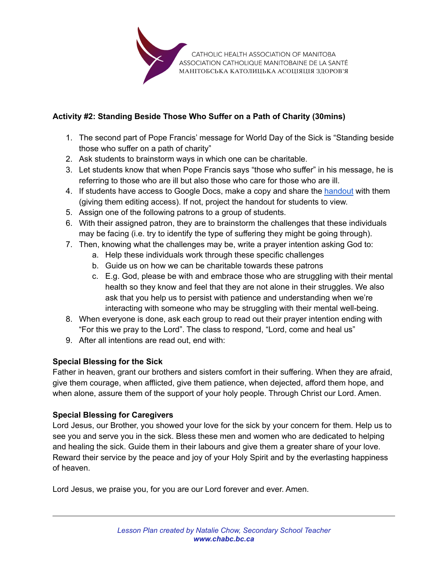

## **Activity #2: Standing Beside Those Who Suffer on a Path of Charity (30mins)**

- 1. The second part of Pope Francis' message for World Day of the Sick is "Standing beside those who suffer on a path of charity"
- 2. Ask students to brainstorm ways in which one can be charitable.
- 3. Let students know that when Pope Francis says "those who suffer" in his message, he is referring to those who are ill but also those who care for those who are ill.
- 4. If students have access to Google Docs, make a copy and share the [handout](#page-4-0) with them (giving them editing access). If not, project the handout for students to view.
- 5. Assign one of the following patrons to a group of students.
- 6. With their assigned patron, they are to brainstorm the challenges that these individuals may be facing (i.e. try to identify the type of suffering they might be going through).
- 7. Then, knowing what the challenges may be, write a prayer intention asking God to:
	- a. Help these individuals work through these specific challenges
	- b. Guide us on how we can be charitable towards these patrons
	- c. E.g. God, please be with and embrace those who are struggling with their mental health so they know and feel that they are not alone in their struggles. We also ask that you help us to persist with patience and understanding when we're interacting with someone who may be struggling with their mental well-being.
- 8. When everyone is done, ask each group to read out their prayer intention ending with "For this we pray to the Lord". The class to respond, "Lord, come and heal us"
- 9. After all intentions are read out, end with:

## **Special Blessing for the Sick**

Father in heaven, grant our brothers and sisters comfort in their suffering. When they are afraid, give them courage, when afflicted, give them patience, when dejected, afford them hope, and when alone, assure them of the support of your holy people. Through Christ our Lord. Amen.

## **Special Blessing for Caregivers**

Lord Jesus, our Brother, you showed your love for the sick by your concern for them. Help us to see you and serve you in the sick. Bless these men and women who are dedicated to helping and healing the sick. Guide them in their labours and give them a greater share of your love. Reward their service by the peace and joy of your Holy Spirit and by the everlasting happiness of heaven.

Lord Jesus, we praise you, for you are our Lord forever and ever. Amen.